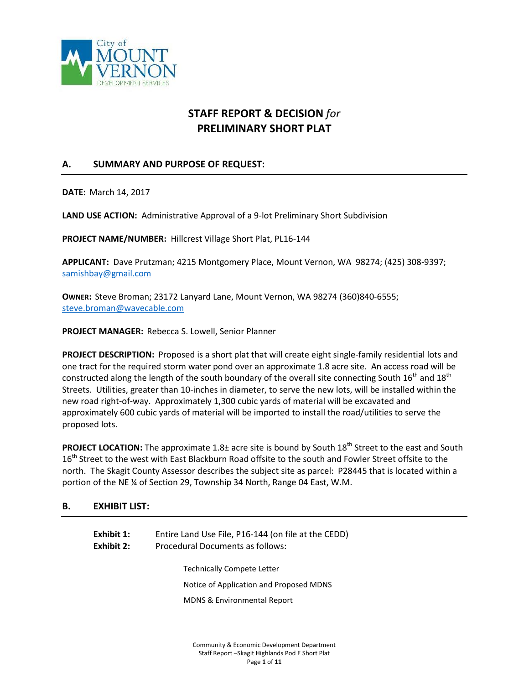

# **STAFF REPORT & DECISION** *for* **PRELIMINARY SHORT PLAT**

# **A. SUMMARY AND PURPOSE OF REQUEST:**

**DATE:** March 14, 2017

**LAND USE ACTION:** Administrative Approval of a 9-lot Preliminary Short Subdivision

**PROJECT NAME/NUMBER:** Hillcrest Village Short Plat, PL16-144

**APPLICANT:** Dave Prutzman; 4215 Montgomery Place, Mount Vernon, WA 98274; (425) 308-9397; [samishbay@gmail.com](mailto:samishbay@gmail.com)

**OWNER:** Steve Broman; 23172 Lanyard Lane, Mount Vernon, WA 98274 (360)840-6555; [steve.broman@wavecable.com](mailto:steve.broman@wavecable.com)

**PROJECT MANAGER:** Rebecca S. Lowell, Senior Planner

**PROJECT DESCRIPTION:** Proposed is a short plat that will create eight single-family residential lots and one tract for the required storm water pond over an approximate 1.8 acre site. An access road will be constructed along the length of the south boundary of the overall site connecting South 16<sup>th</sup> and 18<sup>th</sup> Streets. Utilities, greater than 10-inches in diameter, to serve the new lots, will be installed within the new road right-of-way. Approximately 1,300 cubic yards of material will be excavated and approximately 600 cubic yards of material will be imported to install the road/utilities to serve the proposed lots.

**PROJECT LOCATION:** The approximate 1.8± acre site is bound by South 18<sup>th</sup> Street to the east and South 16<sup>th</sup> Street to the west with East Blackburn Road offsite to the south and Fowler Street offsite to the north. The Skagit County Assessor describes the subject site as parcel: P28445 that is located within a portion of the NE ¼ of Section 29, Township 34 North, Range 04 East, W.M.

### **B. EXHIBIT LIST:**

| Exhibit 1:<br>Exhibit 2: | Entire Land Use File, P16-144 (on file at the CEDD)<br>Procedural Documents as follows: |  |  |
|--------------------------|-----------------------------------------------------------------------------------------|--|--|
|                          | <b>Technically Compete Letter</b>                                                       |  |  |
|                          | Notice of Application and Proposed MDNS                                                 |  |  |
|                          | MDNS & Environmental Report                                                             |  |  |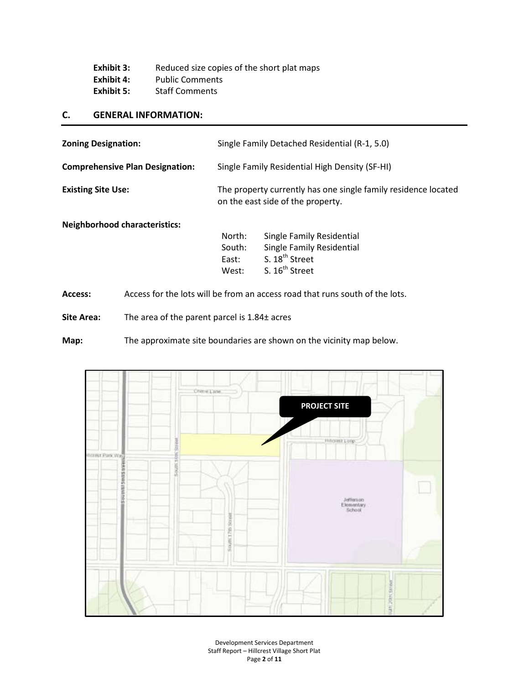| Exhibit 3: | Reduced size copies of the short plat maps |
|------------|--------------------------------------------|
| Exhibit 4: | <b>Public Comments</b>                     |
| Exhibit 5: | <b>Staff Comments</b>                      |

### **C. GENERAL INFORMATION:**

| <b>Zoning Designation:</b>             |                                                | Single Family Detached Residential (R-1, 5.0)                                                       |  |  |
|----------------------------------------|------------------------------------------------|-----------------------------------------------------------------------------------------------------|--|--|
| <b>Comprehensive Plan Designation:</b> | Single Family Residential High Density (SF-HI) |                                                                                                     |  |  |
| <b>Existing Site Use:</b>              |                                                | The property currently has one single family residence located<br>on the east side of the property. |  |  |
| <b>Neighborhood characteristics:</b>   |                                                |                                                                                                     |  |  |
|                                        | North:                                         | Single Family Residential                                                                           |  |  |
|                                        | South:                                         | Single Family Residential                                                                           |  |  |
|                                        | East:                                          | S. 18 <sup>th</sup> Street                                                                          |  |  |

West: S. 16<sup>th</sup> Street

**Access:** Access for the lots will be from an access road that runs south of the lots.

**Site Area:** The area of the parent parcel is 1.84± acres

**Map:** The approximate site boundaries are shown on the vicinity map below.

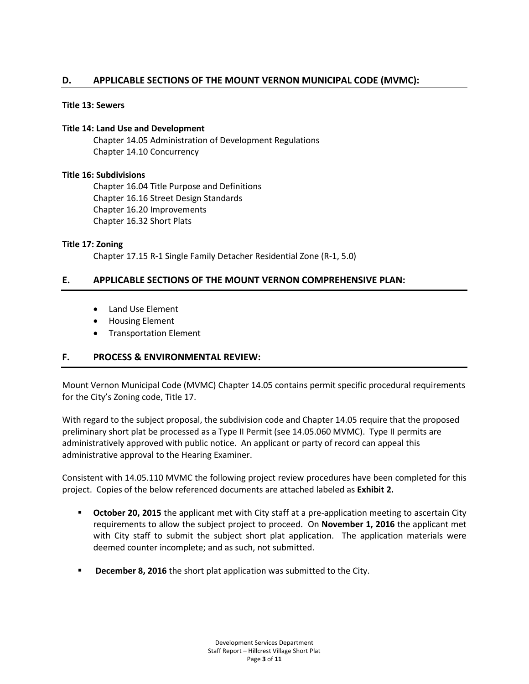# **D. APPLICABLE SECTIONS OF THE MOUNT VERNON MUNICIPAL CODE (MVMC):**

#### **Title 13: Sewers**

#### **Title 14: Land Use and Development**

Chapter 14.05 Administration of Development Regulations Chapter 14.10 Concurrency

#### **Title 16: Subdivisions**

Chapter 16.04 Title Purpose and Definitions Chapter 16.16 Street Design Standards Chapter 16.20 Improvements Chapter 16.32 Short Plats

#### **Title 17: Zoning**

Chapter 17.15 R-1 Single Family Detacher Residential Zone (R-1, 5.0)

# **E. APPLICABLE SECTIONS OF THE MOUNT VERNON COMPREHENSIVE PLAN:**

- Land Use Element
- Housing Element
- Transportation Element

# **F. PROCESS & ENVIRONMENTAL REVIEW:**

Mount Vernon Municipal Code (MVMC) Chapter 14.05 contains permit specific procedural requirements for the City's Zoning code, Title 17.

With regard to the subject proposal, the subdivision code and Chapter 14.05 require that the proposed preliminary short plat be processed as a Type II Permit (see 14.05.060 MVMC). Type II permits are administratively approved with public notice. An applicant or party of record can appeal this administrative approval to the Hearing Examiner.

Consistent with 14.05.110 MVMC the following project review procedures have been completed for this project. Copies of the below referenced documents are attached labeled as **Exhibit 2.** 

- **Cctober 20, 2015** the applicant met with City staff at a pre-application meeting to ascertain City requirements to allow the subject project to proceed. On **November 1, 2016** the applicant met with City staff to submit the subject short plat application. The application materials were deemed counter incomplete; and as such, not submitted.
- **December 8, 2016** the short plat application was submitted to the City.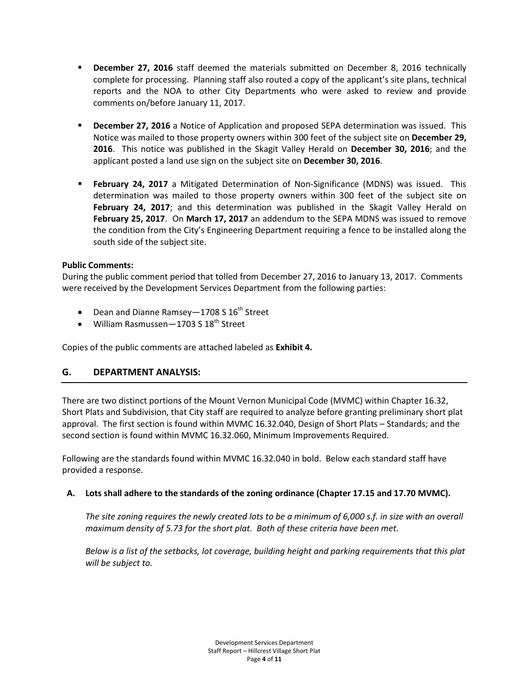- **December 27, 2016** staff deemed the materials submitted on December 8, 2016 technically complete for processing. Planning staff also routed a copy of the applicant's site plans, technical reports and the NOA to other City Departments who were asked to review and provide comments on/before January 11, 2017.
- **December 27, 2016** a Notice of Application and proposed SEPA determination was issued. This Notice was mailed to those property owners within 300 feet of the subject site on **December 29, 2016**. This notice was published in the Skagit Valley Herald on **December 30, 2016**; and the applicant posted a land use sign on the subject site on **December 30, 2016**.
- **February 24, 2017** a Mitigated Determination of Non-Significance (MDNS) was issued. This determination was mailed to those property owners within 300 feet of the subject site on **February 24, 2017**; and this determination was published in the Skagit Valley Herald on **February 25, 2017**. On **March 17, 2017** an addendum to the SEPA MDNS was issued to remove the condition from the City's Engineering Department requiring a fence to be installed along the south side of the subject site.

# **Public Comments:**

During the public comment period that tolled from December 27, 2016 to January 13, 2017. Comments were received by the Development Services Department from the following parties:

- Dean and Dianne Ramsey 1708 S  $16^{th}$  Street
- William Rasmussen  $-1703$  S  $18<sup>th</sup>$  Street

Copies of the public comments are attached labeled as **Exhibit 4.**

# **G. DEPARTMENT ANALYSIS:**

There are two distinct portions of the Mount Vernon Municipal Code (MVMC) within Chapter 16.32, Short Plats and Subdivision, that City staff are required to analyze before granting preliminary short plat approval. The first section is found within MVMC 16.32.040, Design of Short Plats – Standards; and the second section is found within MVMC 16.32.060, Minimum Improvements Required.

Following are the standards found within MVMC 16.32.040 in bold. Below each standard staff have provided a response.

# **A. Lots shall adhere to the standards of the zoning ordinance (Chapter 17.15 and 17.70 MVMC).**

*The site zoning requires the newly created lots to be a minimum of 6,000 s.f. in size with an overall maximum density of 5.73 for the short plat. Both of these criteria have been met.*

*Below is a list of the setbacks, lot coverage, building height and parking requirements that this plat will be subject to.*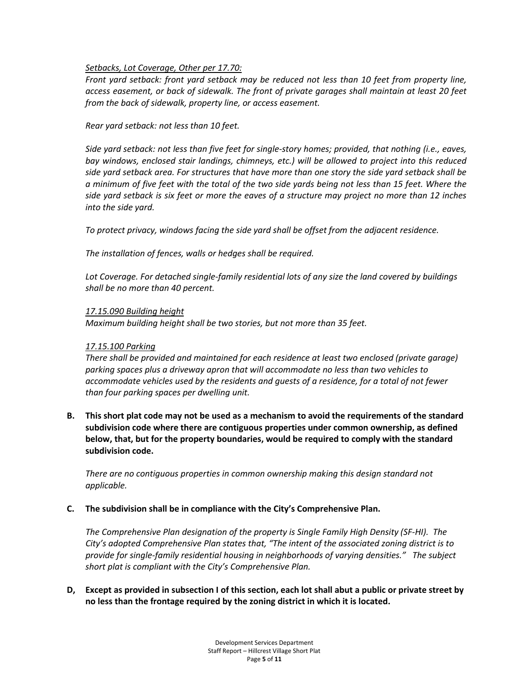#### *Setbacks, Lot Coverage, Other per 17.70:*

*Front yard setback: front yard setback may be reduced not less than 10 feet from property line, access easement, or back of sidewalk. The front of private garages shall maintain at least 20 feet from the back of sidewalk, property line, or access easement.*

*Rear yard setback: not less than 10 feet.*

*Side yard setback: not less than five feet for single-story homes; provided, that nothing (i.e., eaves, bay windows, enclosed stair landings, chimneys, etc.) will be allowed to project into this reduced side yard setback area. For structures that have more than one story the side yard setback shall be a minimum of five feet with the total of the two side yards being not less than 15 feet. Where the side yard setback is six feet or more the eaves of a structure may project no more than 12 inches into the side yard.*

*To protect privacy, windows facing the side yard shall be offset from the adjacent residence.*

*The installation of fences, walls or hedges shall be required.*

*Lot Coverage. For detached single-family residential lots of any size the land covered by buildings shall be no more than 40 percent.*

#### *17.15.090 Building height*

*Maximum building height shall be two stories, but not more than 35 feet.*

#### *17.15.100 Parking*

*There shall be provided and maintained for each residence at least two enclosed (private garage) parking spaces plus a driveway apron that will accommodate no less than two vehicles to accommodate vehicles used by the residents and guests of a residence, for a total of not fewer than four parking spaces per dwelling unit.*

**B. This short plat code may not be used as a mechanism to avoid the requirements of the standard subdivision code where there are contiguous properties under common ownership, as defined below, that, but for the property boundaries, would be required to comply with the standard subdivision code.**

*There are no contiguous properties in common ownership making this design standard not applicable.* 

#### **C. The subdivision shall be in compliance with the City's Comprehensive Plan.**

*The Comprehensive Plan designation of the property is Single Family High Density (SF-HI). The City's adopted Comprehensive Plan states that, "The intent of the associated zoning district is to provide for single-family residential housing in neighborhoods of varying densities." The subject short plat is compliant with the City's Comprehensive Plan.*

**D, Except as provided in subsection I of this section, each lot shall abut a public or private street by no less than the frontage required by the zoning district in which it is located.**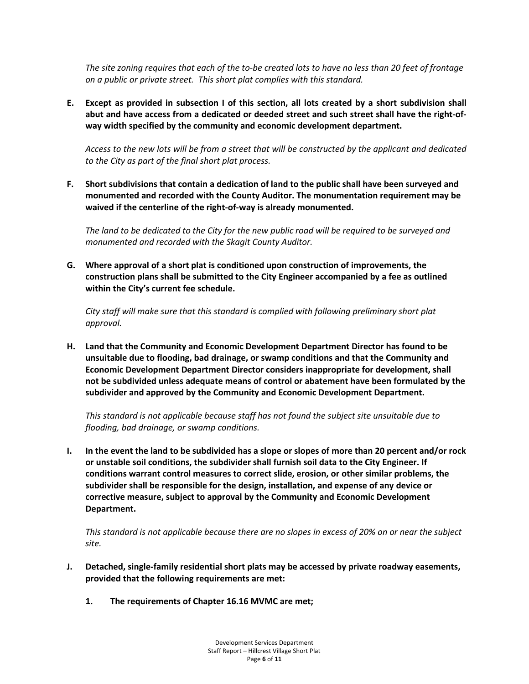*The site zoning requires that each of the to-be created lots to have no less than 20 feet of frontage on a public or private street. This short plat complies with this standard.*

**E. Except as provided in subsection I of this section, all lots created by a short subdivision shall abut and have access from a dedicated or deeded street and such street shall have the right-ofway width specified by the community and economic development department.**

*Access to the new lots will be from a street that will be constructed by the applicant and dedicated to the City as part of the final short plat process.* 

**F. Short subdivisions that contain a dedication of land to the public shall have been surveyed and monumented and recorded with the County Auditor. The monumentation requirement may be waived if the centerline of the right-of-way is already monumented.**

*The land to be dedicated to the City for the new public road will be required to be surveyed and monumented and recorded with the Skagit County Auditor.* 

**G. Where approval of a short plat is conditioned upon construction of improvements, the construction plans shall be submitted to the City Engineer accompanied by a fee as outlined within the City's current fee schedule.**

*City staff will make sure that this standard is complied with following preliminary short plat approval.*

**H. Land that the Community and Economic Development Department Director has found to be unsuitable due to flooding, bad drainage, or swamp conditions and that the Community and Economic Development Department Director considers inappropriate for development, shall not be subdivided unless adequate means of control or abatement have been formulated by the subdivider and approved by the Community and Economic Development Department.**

*This standard is not applicable because staff has not found the subject site unsuitable due to flooding, bad drainage, or swamp conditions.*

**I. In the event the land to be subdivided has a slope or slopes of more than 20 percent and/or rock or unstable soil conditions, the subdivider shall furnish soil data to the City Engineer. If conditions warrant control measures to correct slide, erosion, or other similar problems, the subdivider shall be responsible for the design, installation, and expense of any device or corrective measure, subject to approval by the Community and Economic Development Department.**

*This standard is not applicable because there are no slopes in excess of 20% on or near the subject site.*

- **J. Detached, single-family residential short plats may be accessed by private roadway easements, provided that the following requirements are met:** 
	- **1. The requirements of Chapter 16.16 MVMC are met;**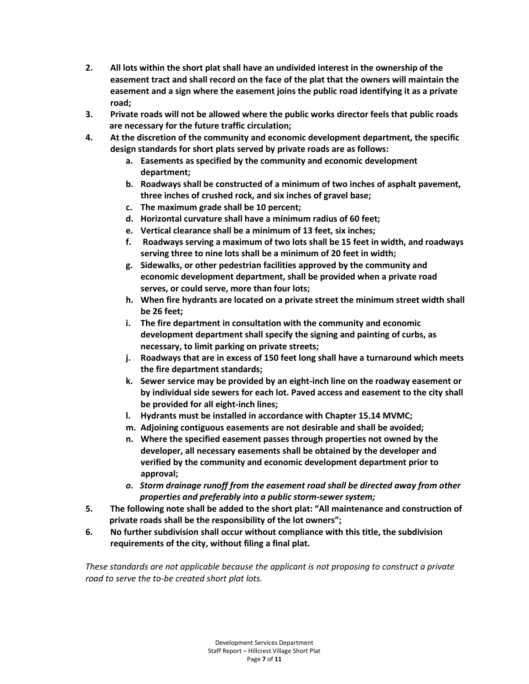- **2. All lots within the short plat shall have an undivided interest in the ownership of the easement tract and shall record on the face of the plat that the owners will maintain the easement and a sign where the easement joins the public road identifying it as a private road;**
- **3. Private roads will not be allowed where the public works director feels that public roads are necessary for the future traffic circulation;**
- **4. At the discretion of the community and economic development department, the specific design standards for short plats served by private roads are as follows:**
	- **a. Easements as specified by the community and economic development department;**
	- **b. Roadways shall be constructed of a minimum of two inches of asphalt pavement, three inches of crushed rock, and six inches of gravel base;**
	- **c. The maximum grade shall be 10 percent;**
	- **d. Horizontal curvature shall have a minimum radius of 60 feet;**
	- **e. Vertical clearance shall be a minimum of 13 feet, six inches;**
	- **f. Roadways serving a maximum of two lots shall be 15 feet in width, and roadways serving three to nine lots shall be a minimum of 20 feet in width;**
	- **g. Sidewalks, or other pedestrian facilities approved by the community and economic development department, shall be provided when a private road serves, or could serve, more than four lots;**
	- **h. When fire hydrants are located on a private street the minimum street width shall be 26 feet;**
	- **i. The fire department in consultation with the community and economic development department shall specify the signing and painting of curbs, as necessary, to limit parking on private streets;**
	- **j. Roadways that are in excess of 150 feet long shall have a turnaround which meets the fire department standards;**
	- **k. Sewer service may be provided by an eight-inch line on the roadway easement or by individual side sewers for each lot. Paved access and easement to the city shall be provided for all eight-inch lines;**
	- **l. Hydrants must be installed in accordance with Chapter 15.14 MVMC;**
	- **m. Adjoining contiguous easements are not desirable and shall be avoided;**
	- **n. Where the specified easement passes through properties not owned by the developer, all necessary easements shall be obtained by the developer and verified by the community and economic development department prior to approval;**
	- *o. Storm drainage runoff from the easement road shall be directed away from other properties and preferably into a public storm-sewer system;*
- **5. The following note shall be added to the short plat: "All maintenance and construction of private roads shall be the responsibility of the lot owners";**
- **6. No further subdivision shall occur without compliance with this title, the subdivision requirements of the city, without filing a final plat.**

*These standards are not applicable because the applicant is not proposing to construct a private road to serve the to-be created short plat lots.*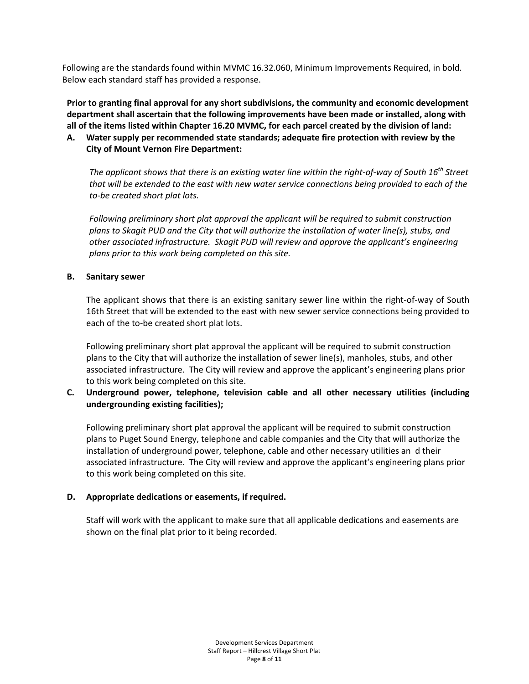Following are the standards found within MVMC 16.32.060, Minimum Improvements Required, in bold. Below each standard staff has provided a response.

**Prior to granting final approval for any short subdivisions, the community and economic development department shall ascertain that the following improvements have been made or installed, along with all of the items listed within Chapter 16.20 MVMC, for each parcel created by the division of land:**

# **A. Water supply per recommended state standards; adequate fire protection with review by the City of Mount Vernon Fire Department:**

*The applicant shows that there is an existing water line within the right-of-way of South 16th Street that will be extended to the east with new water service connections being provided to each of the to-be created short plat lots.* 

*Following preliminary short plat approval the applicant will be required to submit construction plans to Skagit PUD and the City that will authorize the installation of water line(s), stubs, and other associated infrastructure. Skagit PUD will review and approve the applicant's engineering plans prior to this work being completed on this site.* 

# **B. Sanitary sewer**

The applicant shows that there is an existing sanitary sewer line within the right-of-way of South 16th Street that will be extended to the east with new sewer service connections being provided to each of the to-be created short plat lots.

Following preliminary short plat approval the applicant will be required to submit construction plans to the City that will authorize the installation of sewer line(s), manholes, stubs, and other associated infrastructure. The City will review and approve the applicant's engineering plans prior to this work being completed on this site.

# **C. Underground power, telephone, television cable and all other necessary utilities (including undergrounding existing facilities);**

Following preliminary short plat approval the applicant will be required to submit construction plans to Puget Sound Energy, telephone and cable companies and the City that will authorize the installation of underground power, telephone, cable and other necessary utilities an d their associated infrastructure. The City will review and approve the applicant's engineering plans prior to this work being completed on this site.

### **D. Appropriate dedications or easements, if required.**

Staff will work with the applicant to make sure that all applicable dedications and easements are shown on the final plat prior to it being recorded.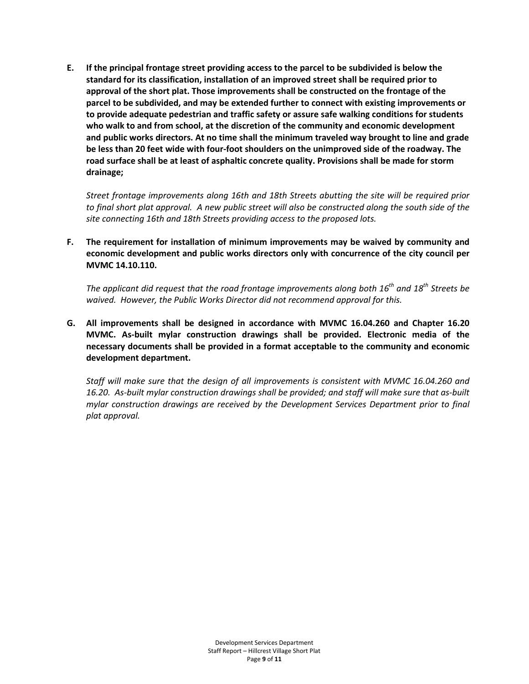**E. If the principal frontage street providing access to the parcel to be subdivided is below the standard for its classification, installation of an improved street shall be required prior to approval of the short plat. Those improvements shall be constructed on the frontage of the parcel to be subdivided, and may be extended further to connect with existing improvements or to provide adequate pedestrian and traffic safety or assure safe walking conditions for students who walk to and from school, at the discretion of the community and economic development and public works directors. At no time shall the minimum traveled way brought to line and grade be less than 20 feet wide with four-foot shoulders on the unimproved side of the roadway. The road surface shall be at least of asphaltic concrete quality. Provisions shall be made for storm drainage;**

*Street frontage improvements along 16th and 18th Streets abutting the site will be required prior to final short plat approval. A new public street will also be constructed along the south side of the site connecting 16th and 18th Streets providing access to the proposed lots.*

**F. The requirement for installation of minimum improvements may be waived by community and economic development and public works directors only with concurrence of the city council per MVMC 14.10.110.**

*The applicant did request that the road frontage improvements along both 16th and 18th Streets be waived. However, the Public Works Director did not recommend approval for this.*

**G. All improvements shall be designed in accordance with MVMC 16.04.260 and Chapter 16.20 MVMC. As-built mylar construction drawings shall be provided. Electronic media of the necessary documents shall be provided in a format acceptable to the community and economic development department.**

*Staff will make sure that the design of all improvements is consistent with MVMC 16.04.260 and 16.20. As-built mylar construction drawings shall be provided; and staff will make sure that as-built mylar construction drawings are received by the Development Services Department prior to final plat approval.*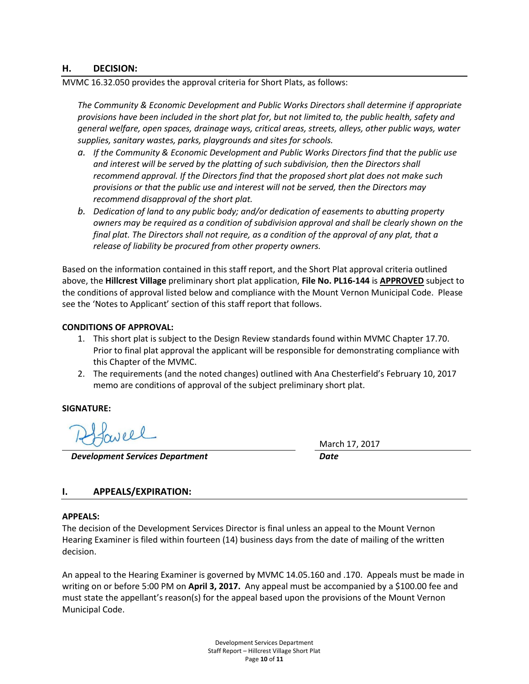### **H. DECISION:**

MVMC 16.32.050 provides the approval criteria for Short Plats, as follows:

*The Community & Economic Development and Public Works Directors shall determine if appropriate provisions have been included in the short plat for, but not limited to, the public health, safety and general welfare, open spaces, drainage ways, critical areas, streets, alleys, other public ways, water supplies, sanitary wastes, parks, playgrounds and sites for schools.*

- *a. If the Community & Economic Development and Public Works Directors find that the public use and interest will be served by the platting of such subdivision, then the Directors shall recommend approval. If the Directors find that the proposed short plat does not make such provisions or that the public use and interest will not be served, then the Directors may recommend disapproval of the short plat.*
- *b. Dedication of land to any public body; and/or dedication of easements to abutting property owners may be required as a condition of subdivision approval and shall be clearly shown on the final plat. The Directors shall not require, as a condition of the approval of any plat, that a release of liability be procured from other property owners.*

Based on the information contained in this staff report, and the Short Plat approval criteria outlined above, the **Hillcrest Village** preliminary short plat application, **File No. PL16-144** is **APPROVED** subject to the conditions of approval listed below and compliance with the Mount Vernon Municipal Code. Please see the 'Notes to Applicant' section of this staff report that follows.

### **CONDITIONS OF APPROVAL:**

- 1. This short plat is subject to the Design Review standards found within MVMC Chapter 17.70. Prior to final plat approval the applicant will be responsible for demonstrating compliance with this Chapter of the MVMC.
- 2. The requirements (and the noted changes) outlined with Ana Chesterfield's February 10, 2017 memo are conditions of approval of the subject preliminary short plat.

### **SIGNATURE:**

 *Development Services Department Date*

March 17, 2017

# **I. APPEALS/EXPIRATION:**

#### **APPEALS:**

The decision of the Development Services Director is final unless an appeal to the Mount Vernon Hearing Examiner is filed within fourteen (14) business days from the date of mailing of the written decision.

An appeal to the Hearing Examiner is governed by MVMC 14.05.160 and .170. Appeals must be made in writing on or before 5:00 PM on **April 3, 2017.** Any appeal must be accompanied by a \$100.00 fee and must state the appellant's reason(s) for the appeal based upon the provisions of the Mount Vernon Municipal Code.